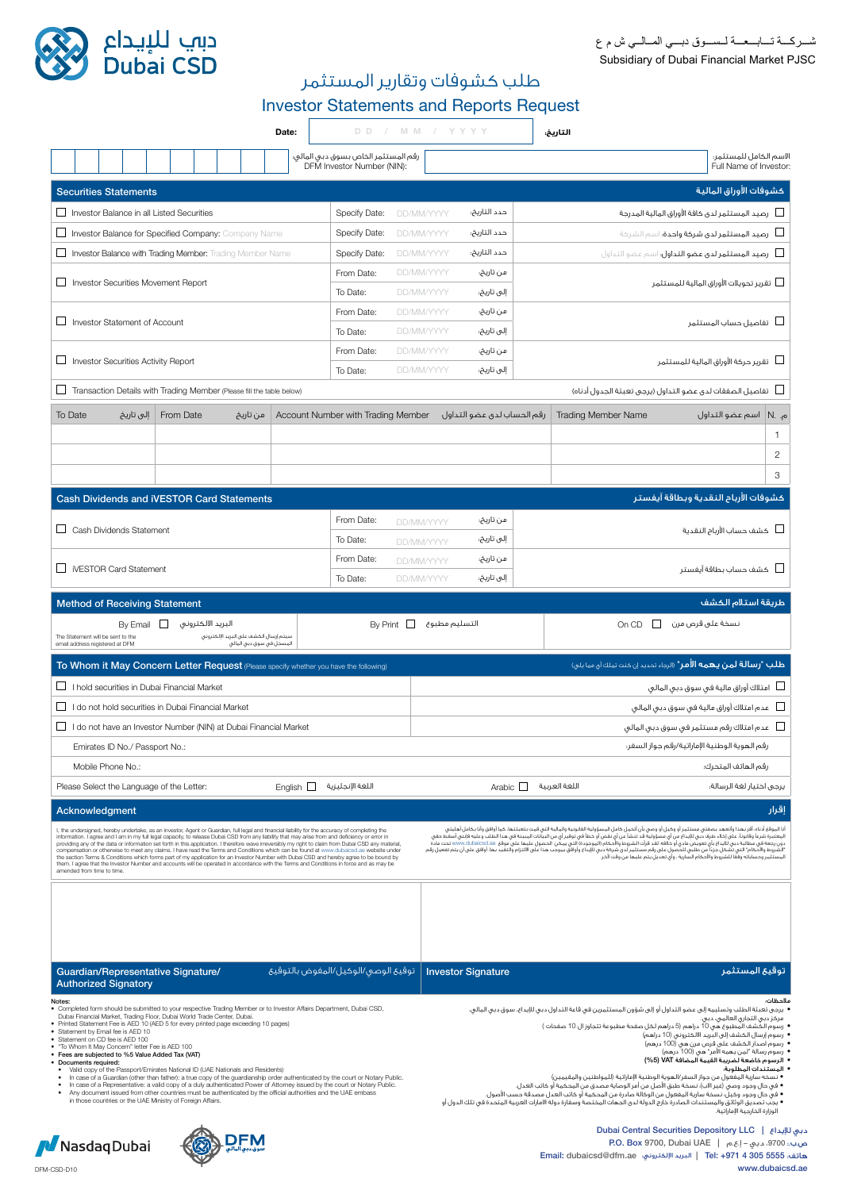



طلب كشوفات وتقارير المستثمر Investor Statements and Reports Request

|                                                                                                                                                |                                                                                                                                                                                                                                                                                                                                                                                                                                                                                                                                                                                                                                                                                                                                                                                                                                                                                                                                                                                                                                                                                                                                                                                                                                                                                                                                                    |                                                                                                                                                                                                                                                                                                                                                                                                                                                                                                                                                        |                                                                    | Date:          |                                                                                                                                                                                                                                                            |                 | DD / MM / YYYY                                                                                                                                                                                                                                                                                                                                                                                                                                                                                                                                                                                                                                                                                                                                                                                                                                                                                                                 |                            | التاريخ:                                                                                                                                                |                                                |  |
|------------------------------------------------------------------------------------------------------------------------------------------------|----------------------------------------------------------------------------------------------------------------------------------------------------------------------------------------------------------------------------------------------------------------------------------------------------------------------------------------------------------------------------------------------------------------------------------------------------------------------------------------------------------------------------------------------------------------------------------------------------------------------------------------------------------------------------------------------------------------------------------------------------------------------------------------------------------------------------------------------------------------------------------------------------------------------------------------------------------------------------------------------------------------------------------------------------------------------------------------------------------------------------------------------------------------------------------------------------------------------------------------------------------------------------------------------------------------------------------------------------|--------------------------------------------------------------------------------------------------------------------------------------------------------------------------------------------------------------------------------------------------------------------------------------------------------------------------------------------------------------------------------------------------------------------------------------------------------------------------------------------------------------------------------------------------------|--------------------------------------------------------------------|----------------|------------------------------------------------------------------------------------------------------------------------------------------------------------------------------------------------------------------------------------------------------------|-----------------|--------------------------------------------------------------------------------------------------------------------------------------------------------------------------------------------------------------------------------------------------------------------------------------------------------------------------------------------------------------------------------------------------------------------------------------------------------------------------------------------------------------------------------------------------------------------------------------------------------------------------------------------------------------------------------------------------------------------------------------------------------------------------------------------------------------------------------------------------------------------------------------------------------------------------------|----------------------------|---------------------------------------------------------------------------------------------------------------------------------------------------------|------------------------------------------------|--|
|                                                                                                                                                |                                                                                                                                                                                                                                                                                                                                                                                                                                                                                                                                                                                                                                                                                                                                                                                                                                                                                                                                                                                                                                                                                                                                                                                                                                                                                                                                                    |                                                                                                                                                                                                                                                                                                                                                                                                                                                                                                                                                        |                                                                    |                | رقم المستثمر الخاص بسوق دبى المالى؛<br>DFM Investor Number (NIN):                                                                                                                                                                                          |                 |                                                                                                                                                                                                                                                                                                                                                                                                                                                                                                                                                                                                                                                                                                                                                                                                                                                                                                                                |                            |                                                                                                                                                         | لاسم الكامل للمستثمر؛<br>Full Name of Investor |  |
|                                                                                                                                                |                                                                                                                                                                                                                                                                                                                                                                                                                                                                                                                                                                                                                                                                                                                                                                                                                                                                                                                                                                                                                                                                                                                                                                                                                                                                                                                                                    |                                                                                                                                                                                                                                                                                                                                                                                                                                                                                                                                                        |                                                                    |                |                                                                                                                                                                                                                                                            |                 |                                                                                                                                                                                                                                                                                                                                                                                                                                                                                                                                                                                                                                                                                                                                                                                                                                                                                                                                |                            |                                                                                                                                                         |                                                |  |
|                                                                                                                                                | <b>Securities Statements</b>                                                                                                                                                                                                                                                                                                                                                                                                                                                                                                                                                                                                                                                                                                                                                                                                                                                                                                                                                                                                                                                                                                                                                                                                                                                                                                                       |                                                                                                                                                                                                                                                                                                                                                                                                                                                                                                                                                        |                                                                    |                |                                                                                                                                                                                                                                                            |                 |                                                                                                                                                                                                                                                                                                                                                                                                                                                                                                                                                                                                                                                                                                                                                                                                                                                                                                                                |                            |                                                                                                                                                         | كشوفات الأوراق المالية                         |  |
|                                                                                                                                                |                                                                                                                                                                                                                                                                                                                                                                                                                                                                                                                                                                                                                                                                                                                                                                                                                                                                                                                                                                                                                                                                                                                                                                                                                                                                                                                                                    | Investor Balance in all Listed Securities                                                                                                                                                                                                                                                                                                                                                                                                                                                                                                              |                                                                    |                | Specify Date:                                                                                                                                                                                                                                              | DD/MM/YYYY      | حدد التاريخ؛                                                                                                                                                                                                                                                                                                                                                                                                                                                                                                                                                                                                                                                                                                                                                                                                                                                                                                                   |                            | رصيد المستثمر لدى كافة الأوراق المالية المدرجة $\Box$                                                                                                   |                                                |  |
| □                                                                                                                                              |                                                                                                                                                                                                                                                                                                                                                                                                                                                                                                                                                                                                                                                                                                                                                                                                                                                                                                                                                                                                                                                                                                                                                                                                                                                                                                                                                    | <b>Investor Balance for Specified Company: Company Name</b>                                                                                                                                                                                                                                                                                                                                                                                                                                                                                            |                                                                    |                | Specify Date:                                                                                                                                                                                                                                              | DD/MM/YYYY      | حدد التاريخ:                                                                                                                                                                                                                                                                                                                                                                                                                                                                                                                                                                                                                                                                                                                                                                                                                                                                                                                   |                            | رضيد المستثمر لدق شركة واحدة: اسم الشركة $\Box$                                                                                                         |                                                |  |
| ⊔                                                                                                                                              |                                                                                                                                                                                                                                                                                                                                                                                                                                                                                                                                                                                                                                                                                                                                                                                                                                                                                                                                                                                                                                                                                                                                                                                                                                                                                                                                                    | Investor Balance with Trading Member: Trading Member Name                                                                                                                                                                                                                                                                                                                                                                                                                                                                                              |                                                                    |                | Specify Date:                                                                                                                                                                                                                                              | DD/MM/YYYY      | حدد التاريخ؛                                                                                                                                                                                                                                                                                                                                                                                                                                                                                                                                                                                                                                                                                                                                                                                                                                                                                                                   |                            | رضيد المستثمر لدق عضو التداول؛ اسم عضو التداول $\Box$                                                                                                   |                                                |  |
| ப                                                                                                                                              |                                                                                                                                                                                                                                                                                                                                                                                                                                                                                                                                                                                                                                                                                                                                                                                                                                                                                                                                                                                                                                                                                                                                                                                                                                                                                                                                                    | Investor Securities Movement Report                                                                                                                                                                                                                                                                                                                                                                                                                                                                                                                    |                                                                    |                | From Date:                                                                                                                                                                                                                                                 | DD/MM/YYYY      |                                                                                                                                                                                                                                                                                                                                                                                                                                                                                                                                                                                                                                                                                                                                                                                                                                                                                                                                | من تاريخ؛                  |                                                                                                                                                         | تقرير تحويلات الأوراق المالية للمستثمر $\Box$  |  |
|                                                                                                                                                |                                                                                                                                                                                                                                                                                                                                                                                                                                                                                                                                                                                                                                                                                                                                                                                                                                                                                                                                                                                                                                                                                                                                                                                                                                                                                                                                                    |                                                                                                                                                                                                                                                                                                                                                                                                                                                                                                                                                        |                                                                    |                | To Date:                                                                                                                                                                                                                                                   | DD/MM/YYYY      | إلى تاريخ:                                                                                                                                                                                                                                                                                                                                                                                                                                                                                                                                                                                                                                                                                                                                                                                                                                                                                                                     |                            |                                                                                                                                                         |                                                |  |
| $\Box$                                                                                                                                         | Investor Statement of Account                                                                                                                                                                                                                                                                                                                                                                                                                                                                                                                                                                                                                                                                                                                                                                                                                                                                                                                                                                                                                                                                                                                                                                                                                                                                                                                      |                                                                                                                                                                                                                                                                                                                                                                                                                                                                                                                                                        |                                                                    |                | From Date:                                                                                                                                                                                                                                                 | DD/MM/YYYY      |                                                                                                                                                                                                                                                                                                                                                                                                                                                                                                                                                                                                                                                                                                                                                                                                                                                                                                                                | من تاريخ؛                  |                                                                                                                                                         | أسأن تفاصيل حساب المستثمر                      |  |
|                                                                                                                                                |                                                                                                                                                                                                                                                                                                                                                                                                                                                                                                                                                                                                                                                                                                                                                                                                                                                                                                                                                                                                                                                                                                                                                                                                                                                                                                                                                    |                                                                                                                                                                                                                                                                                                                                                                                                                                                                                                                                                        |                                                                    |                | To Date:                                                                                                                                                                                                                                                   | DD/MM/YYYY      | إلى تاريخ؛                                                                                                                                                                                                                                                                                                                                                                                                                                                                                                                                                                                                                                                                                                                                                                                                                                                                                                                     |                            |                                                                                                                                                         |                                                |  |
|                                                                                                                                                | Investor Securities Activity Report                                                                                                                                                                                                                                                                                                                                                                                                                                                                                                                                                                                                                                                                                                                                                                                                                                                                                                                                                                                                                                                                                                                                                                                                                                                                                                                |                                                                                                                                                                                                                                                                                                                                                                                                                                                                                                                                                        |                                                                    |                | From Date:                                                                                                                                                                                                                                                 | DD/MM/YYYY      |                                                                                                                                                                                                                                                                                                                                                                                                                                                                                                                                                                                                                                                                                                                                                                                                                                                                                                                                | من تاريخ؛                  |                                                                                                                                                         |                                                |  |
|                                                                                                                                                |                                                                                                                                                                                                                                                                                                                                                                                                                                                                                                                                                                                                                                                                                                                                                                                                                                                                                                                                                                                                                                                                                                                                                                                                                                                                                                                                                    |                                                                                                                                                                                                                                                                                                                                                                                                                                                                                                                                                        |                                                                    |                | To Date:                                                                                                                                                                                                                                                   | DD/MM/YYYY      |                                                                                                                                                                                                                                                                                                                                                                                                                                                                                                                                                                                                                                                                                                                                                                                                                                                                                                                                | إلى تاريخ؛                 | أسأ التقرير حركة الأوراق المالية للمستثمر                                                                                                               |                                                |  |
| ப                                                                                                                                              |                                                                                                                                                                                                                                                                                                                                                                                                                                                                                                                                                                                                                                                                                                                                                                                                                                                                                                                                                                                                                                                                                                                                                                                                                                                                                                                                                    | Transaction Details with Trading Member (Please fill the table below)                                                                                                                                                                                                                                                                                                                                                                                                                                                                                  |                                                                    |                |                                                                                                                                                                                                                                                            |                 |                                                                                                                                                                                                                                                                                                                                                                                                                                                                                                                                                                                                                                                                                                                                                                                                                                                                                                                                |                            |                                                                                                                                                         |                                                |  |
| To Date                                                                                                                                        | إلى تاريخ                                                                                                                                                                                                                                                                                                                                                                                                                                                                                                                                                                                                                                                                                                                                                                                                                                                                                                                                                                                                                                                                                                                                                                                                                                                                                                                                          | From Date                                                                                                                                                                                                                                                                                                                                                                                                                                                                                                                                              | من تاريخ                                                           |                | Account Number with Trading Member                                                                                                                                                                                                                         |                 |                                                                                                                                                                                                                                                                                                                                                                                                                                                                                                                                                                                                                                                                                                                                                                                                                                                                                                                                | رقم الحساب لدى عضو التداول | <b>Trading Member Name</b>                                                                                                                              | م. .N اسم عضو التداول                          |  |
|                                                                                                                                                |                                                                                                                                                                                                                                                                                                                                                                                                                                                                                                                                                                                                                                                                                                                                                                                                                                                                                                                                                                                                                                                                                                                                                                                                                                                                                                                                                    |                                                                                                                                                                                                                                                                                                                                                                                                                                                                                                                                                        |                                                                    |                |                                                                                                                                                                                                                                                            |                 |                                                                                                                                                                                                                                                                                                                                                                                                                                                                                                                                                                                                                                                                                                                                                                                                                                                                                                                                |                            |                                                                                                                                                         | 1                                              |  |
|                                                                                                                                                |                                                                                                                                                                                                                                                                                                                                                                                                                                                                                                                                                                                                                                                                                                                                                                                                                                                                                                                                                                                                                                                                                                                                                                                                                                                                                                                                                    |                                                                                                                                                                                                                                                                                                                                                                                                                                                                                                                                                        |                                                                    |                |                                                                                                                                                                                                                                                            |                 |                                                                                                                                                                                                                                                                                                                                                                                                                                                                                                                                                                                                                                                                                                                                                                                                                                                                                                                                |                            |                                                                                                                                                         | $\overline{c}$                                 |  |
|                                                                                                                                                |                                                                                                                                                                                                                                                                                                                                                                                                                                                                                                                                                                                                                                                                                                                                                                                                                                                                                                                                                                                                                                                                                                                                                                                                                                                                                                                                                    |                                                                                                                                                                                                                                                                                                                                                                                                                                                                                                                                                        |                                                                    |                |                                                                                                                                                                                                                                                            |                 |                                                                                                                                                                                                                                                                                                                                                                                                                                                                                                                                                                                                                                                                                                                                                                                                                                                                                                                                |                            |                                                                                                                                                         | 3                                              |  |
|                                                                                                                                                |                                                                                                                                                                                                                                                                                                                                                                                                                                                                                                                                                                                                                                                                                                                                                                                                                                                                                                                                                                                                                                                                                                                                                                                                                                                                                                                                                    | <b>Cash Dividends and IVESTOR Card Statements</b>                                                                                                                                                                                                                                                                                                                                                                                                                                                                                                      |                                                                    |                |                                                                                                                                                                                                                                                            |                 |                                                                                                                                                                                                                                                                                                                                                                                                                                                                                                                                                                                                                                                                                                                                                                                                                                                                                                                                |                            | كشوفات الأرباح النقدية وبطاقة آيفستر                                                                                                                    |                                                |  |
|                                                                                                                                                |                                                                                                                                                                                                                                                                                                                                                                                                                                                                                                                                                                                                                                                                                                                                                                                                                                                                                                                                                                                                                                                                                                                                                                                                                                                                                                                                                    |                                                                                                                                                                                                                                                                                                                                                                                                                                                                                                                                                        |                                                                    |                |                                                                                                                                                                                                                                                            |                 |                                                                                                                                                                                                                                                                                                                                                                                                                                                                                                                                                                                                                                                                                                                                                                                                                                                                                                                                |                            |                                                                                                                                                         |                                                |  |
| □ Cash Dividends Statement                                                                                                                     |                                                                                                                                                                                                                                                                                                                                                                                                                                                                                                                                                                                                                                                                                                                                                                                                                                                                                                                                                                                                                                                                                                                                                                                                                                                                                                                                                    |                                                                                                                                                                                                                                                                                                                                                                                                                                                                                                                                                        |                                                                    | From Date:     | DD/MM/YYYY                                                                                                                                                                                                                                                 |                 | من تاريخ؛                                                                                                                                                                                                                                                                                                                                                                                                                                                                                                                                                                                                                                                                                                                                                                                                                                                                                                                      |                            | أطل كشف حساب الأربام النقدية                                                                                                                            |                                                |  |
|                                                                                                                                                |                                                                                                                                                                                                                                                                                                                                                                                                                                                                                                                                                                                                                                                                                                                                                                                                                                                                                                                                                                                                                                                                                                                                                                                                                                                                                                                                                    |                                                                                                                                                                                                                                                                                                                                                                                                                                                                                                                                                        |                                                                    | To Date:       | DD/MM/YYYY                                                                                                                                                                                                                                                 |                 | إلى تاريخ؛                                                                                                                                                                                                                                                                                                                                                                                                                                                                                                                                                                                                                                                                                                                                                                                                                                                                                                                     |                            |                                                                                                                                                         |                                                |  |
|                                                                                                                                                | iVESTOR Card Statement                                                                                                                                                                                                                                                                                                                                                                                                                                                                                                                                                                                                                                                                                                                                                                                                                                                                                                                                                                                                                                                                                                                                                                                                                                                                                                                             |                                                                                                                                                                                                                                                                                                                                                                                                                                                                                                                                                        |                                                                    |                | From Date:                                                                                                                                                                                                                                                 | DD/MM/YYYY      | من تاريخ؛                                                                                                                                                                                                                                                                                                                                                                                                                                                                                                                                                                                                                                                                                                                                                                                                                                                                                                                      |                            |                                                                                                                                                         | أكالكشف حساب بطاقة آيفستر                      |  |
|                                                                                                                                                |                                                                                                                                                                                                                                                                                                                                                                                                                                                                                                                                                                                                                                                                                                                                                                                                                                                                                                                                                                                                                                                                                                                                                                                                                                                                                                                                                    |                                                                                                                                                                                                                                                                                                                                                                                                                                                                                                                                                        |                                                                    |                | To Date:                                                                                                                                                                                                                                                   | DD/MM/YYYY      |                                                                                                                                                                                                                                                                                                                                                                                                                                                                                                                                                                                                                                                                                                                                                                                                                                                                                                                                | إلى تاريخ؛                 |                                                                                                                                                         |                                                |  |
|                                                                                                                                                | <b>Method of Receiving Statement</b>                                                                                                                                                                                                                                                                                                                                                                                                                                                                                                                                                                                                                                                                                                                                                                                                                                                                                                                                                                                                                                                                                                                                                                                                                                                                                                               |                                                                                                                                                                                                                                                                                                                                                                                                                                                                                                                                                        |                                                                    |                |                                                                                                                                                                                                                                                            |                 |                                                                                                                                                                                                                                                                                                                                                                                                                                                                                                                                                                                                                                                                                                                                                                                                                                                                                                                                |                            |                                                                                                                                                         | طريقة استلام الكشف                             |  |
| The Statement will be sent to the<br>email address registered at DFM                                                                           | By Email                                                                                                                                                                                                                                                                                                                                                                                                                                                                                                                                                                                                                                                                                                                                                                                                                                                                                                                                                                                                                                                                                                                                                                                                                                                                                                                                           | $\Box$<br>البريد الالكترونى                                                                                                                                                                                                                                                                                                                                                                                                                                                                                                                            | سيتم إرسال الكشف على البريد الإلكتروني<br>المسجل في سوق دبي المالع |                |                                                                                                                                                                                                                                                            | By Print $\Box$ | التسليم مطبوع                                                                                                                                                                                                                                                                                                                                                                                                                                                                                                                                                                                                                                                                                                                                                                                                                                                                                                                  |                            | On CD $\Box$<br>نسخة على قرص مرن                                                                                                                        |                                                |  |
|                                                                                                                                                |                                                                                                                                                                                                                                                                                                                                                                                                                                                                                                                                                                                                                                                                                                                                                                                                                                                                                                                                                                                                                                                                                                                                                                                                                                                                                                                                                    |                                                                                                                                                                                                                                                                                                                                                                                                                                                                                                                                                        |                                                                    |                | To Whom it May Concern Letter Request (Please specify whether you have the following)                                                                                                                                                                      |                 |                                                                                                                                                                                                                                                                                                                                                                                                                                                                                                                                                                                                                                                                                                                                                                                                                                                                                                                                |                            | <b>طلب "رسالة لمن يهمه الأمر"</b> (الرجاء تحديد إن كنت تملك أو مما يلي)                                                                                 |                                                |  |
| $\Box$                                                                                                                                         |                                                                                                                                                                                                                                                                                                                                                                                                                                                                                                                                                                                                                                                                                                                                                                                                                                                                                                                                                                                                                                                                                                                                                                                                                                                                                                                                                    | I hold securities in Dubai Financial Market                                                                                                                                                                                                                                                                                                                                                                                                                                                                                                            |                                                                    |                |                                                                                                                                                                                                                                                            |                 |                                                                                                                                                                                                                                                                                                                                                                                                                                                                                                                                                                                                                                                                                                                                                                                                                                                                                                                                |                            |                                                                                                                                                         | امتلاك أوراق مالية في سوق دبي المالي $\Box$    |  |
| □                                                                                                                                              |                                                                                                                                                                                                                                                                                                                                                                                                                                                                                                                                                                                                                                                                                                                                                                                                                                                                                                                                                                                                                                                                                                                                                                                                                                                                                                                                                    | I do not hold securities in Dubai Financial Market                                                                                                                                                                                                                                                                                                                                                                                                                                                                                                     |                                                                    |                |                                                                                                                                                                                                                                                            |                 | أسا     عدم امتلاك أوراق مالية في سوق دبي المالي                                                                                                                                                                                                                                                                                                                                                                                                                                                                                                                                                                                                                                                                                                                                                                                                                                                                               |                            |                                                                                                                                                         |                                                |  |
|                                                                                                                                                |                                                                                                                                                                                                                                                                                                                                                                                                                                                                                                                                                                                                                                                                                                                                                                                                                                                                                                                                                                                                                                                                                                                                                                                                                                                                                                                                                    | □ I do not have an Investor Number (NIN) at Dubai Financial Market                                                                                                                                                                                                                                                                                                                                                                                                                                                                                     |                                                                    |                |                                                                                                                                                                                                                                                            |                 |                                                                                                                                                                                                                                                                                                                                                                                                                                                                                                                                                                                                                                                                                                                                                                                                                                                                                                                                |                            |                                                                                                                                                         |                                                |  |
|                                                                                                                                                | Emirates ID No./ Passport No.:                                                                                                                                                                                                                                                                                                                                                                                                                                                                                                                                                                                                                                                                                                                                                                                                                                                                                                                                                                                                                                                                                                                                                                                                                                                                                                                     |                                                                                                                                                                                                                                                                                                                                                                                                                                                                                                                                                        |                                                                    |                |                                                                                                                                                                                                                                                            |                 | .<br>رقم الهوية الوطنية الإماراتية/رقم جواز السغر:                                                                                                                                                                                                                                                                                                                                                                                                                                                                                                                                                                                                                                                                                                                                                                                                                                                                             |                            |                                                                                                                                                         |                                                |  |
|                                                                                                                                                | Mobile Phone No.:                                                                                                                                                                                                                                                                                                                                                                                                                                                                                                                                                                                                                                                                                                                                                                                                                                                                                                                                                                                                                                                                                                                                                                                                                                                                                                                                  |                                                                                                                                                                                                                                                                                                                                                                                                                                                                                                                                                        |                                                                    |                |                                                                                                                                                                                                                                                            |                 |                                                                                                                                                                                                                                                                                                                                                                                                                                                                                                                                                                                                                                                                                                                                                                                                                                                                                                                                |                            |                                                                                                                                                         | رقم الهاتف المتحرك:                            |  |
|                                                                                                                                                |                                                                                                                                                                                                                                                                                                                                                                                                                                                                                                                                                                                                                                                                                                                                                                                                                                                                                                                                                                                                                                                                                                                                                                                                                                                                                                                                                    | Please Select the Language of the Letter:                                                                                                                                                                                                                                                                                                                                                                                                                                                                                                              |                                                                    | English $\Box$ | اللغة الانحلىزية                                                                                                                                                                                                                                           |                 | Arabic $\Box$<br>اللغة العربية<br>يرجى اختيار لغة الرسالة؛                                                                                                                                                                                                                                                                                                                                                                                                                                                                                                                                                                                                                                                                                                                                                                                                                                                                     |                            |                                                                                                                                                         |                                                |  |
|                                                                                                                                                |                                                                                                                                                                                                                                                                                                                                                                                                                                                                                                                                                                                                                                                                                                                                                                                                                                                                                                                                                                                                                                                                                                                                                                                                                                                                                                                                                    |                                                                                                                                                                                                                                                                                                                                                                                                                                                                                                                                                        |                                                                    |                |                                                                                                                                                                                                                                                            |                 |                                                                                                                                                                                                                                                                                                                                                                                                                                                                                                                                                                                                                                                                                                                                                                                                                                                                                                                                |                            |                                                                                                                                                         |                                                |  |
| Acknowledgment                                                                                                                                 |                                                                                                                                                                                                                                                                                                                                                                                                                                                                                                                                                                                                                                                                                                                                                                                                                                                                                                                                                                                                                                                                                                                                                                                                                                                                                                                                                    |                                                                                                                                                                                                                                                                                                                                                                                                                                                                                                                                                        |                                                                    |                |                                                                                                                                                                                                                                                            |                 |                                                                                                                                                                                                                                                                                                                                                                                                                                                                                                                                                                                                                                                                                                                                                                                                                                                                                                                                |                            | آنا الموقة أدناه، أقربهذا وأتعهد بصفتي مستثمر أو وكيل أو وصي بأن أتحمل كامل المسؤولية القانونية والمالية التي قمت بتعبئتها، كما أوافق وآنا بكامل أهليتي | إقرار                                          |  |
| I, the undersigned, hereby undertake, as an investor, Agent or Guardian, full legal and financial liability for the accuracy of completing the | information. I agree and I am in my full legal capacity, to release Dubai CSD from any liability that may arise from and deficiency or error in<br>المعتبرة شرعاً وقانوناً، على إخلاء طرف دبي للإيداع من أي مسؤولية قد تنشأ عن أي نقص أو خطأ في توفير أي من البيآنات المبينة في هذا الطلب وعليه فإنني أسقط حقي<br>دون رجعة في مطالبة دبي للايداع بأي تعويض مادي أو خلافه. لقد قرأت الشروط والأحكام (الموجودة) التي يمكن  الحصول عليها علي موقع  www.dubaicsd.ae تحت مادة<br>providing any of the data or information set forth in this application. I therefore wave irreversibly my right to claim from Dubai CSD any material,<br>compensation or otherwise to meet any claims. I have read the Terms and Conditions which can be found at www.dubaicsd.ae website under<br>'الشروط والأحكام'' التي تشكل جزءاً من طلبي للحصول على رقم مستثمر لدى شركة دبي للإيداء وأوافق بموجب هذا على االتزام والتقيد بها. أوافق على أن يتم تفعيل رقم<br>المستثمر وحساباته وفقًا للشروط والأحكام السارية ، وأي تعديل يتم عليها من وقت لآخر.<br>the section Terms & Conditions which forms part of my application for an Investor Number with Dubai CSD and hereby agree to be bound by<br>them. I agree that the Investor Number and accounts will be operated in accordance with the Terms and Conditions in force and as may be<br>amended from time to time. |                                                                                                                                                                                                                                                                                                                                                                                                                                                                                                                                                        |                                                                    |                |                                                                                                                                                                                                                                                            |                 |                                                                                                                                                                                                                                                                                                                                                                                                                                                                                                                                                                                                                                                                                                                                                                                                                                                                                                                                |                            |                                                                                                                                                         |                                                |  |
|                                                                                                                                                | <b>Authorized Signatory</b>                                                                                                                                                                                                                                                                                                                                                                                                                                                                                                                                                                                                                                                                                                                                                                                                                                                                                                                                                                                                                                                                                                                                                                                                                                                                                                                        | Guardian/Representative Signature/                                                                                                                                                                                                                                                                                                                                                                                                                                                                                                                     |                                                                    |                | توقيع الوصى/الوكيل/المغوض بالتوقيع                                                                                                                                                                                                                         |                 | <b>Investor Signature</b>                                                                                                                                                                                                                                                                                                                                                                                                                                                                                                                                                                                                                                                                                                                                                                                                                                                                                                      |                            |                                                                                                                                                         | توقيع المستثمر                                 |  |
| Notes:<br>• Statement on CD fee is AED 100<br>• Documents required:<br>$\bullet$                                                               | • Statement by Email fee is AED 10<br>. "To Whom It May Concern" letter Fee is AED 100<br>• Fees are subjected to %5 Value Added Tax (VAT)                                                                                                                                                                                                                                                                                                                                                                                                                                                                                                                                                                                                                                                                                                                                                                                                                                                                                                                                                                                                                                                                                                                                                                                                         | . Completed form should be submitted to your respective Trading Member or to Investor Affairs Department, Dubai CSD,<br>Dubai Financial Market, Trading Floor, Dubai World Trade Center, Dubai.<br>• Printed Statement Fee is AED 10 (AED 5 for every printed page exceeding 10 pages)<br>Valid copy of the Passport/Emirates National ID (UAE Nationals and Residents)<br>Any document issued from other countries must be authenticated by the official authorities and the UAE embass<br>in those countries or the UAE Ministry of Foreign Affairs. |                                                                    |                | In case of a Guardian (other than father): a true copy of the guardianship order authenticated by the court or Notary Public.<br>In case of a Representative: a valid copy of a duly authenticated Power of Attorney issued by the court or Notary Public. |                 | ملاحظات:<br>يرجى تعبئة الطلب وتسليمه إلى عضو التداول أو إلى شؤون المستثمرين فى قاعة التداول دبى للإيداءَ، سوق دبى المالى،<br>مرکز دیی التجاری العالمی، دیی.<br>رسوم الكَشف المطبوع هي 10 دراهم (5 دراهم لكل صفحة مطبوعة تتجاوز ال 10 صفحات )<br>رسوه، إرسال الكشف إلى البَّريد الالكتروني (10 دراهم)<br>رسوم اصدار الكشف على قرص مرن هى (100 درهم)<br>رسوم رسالة "لمن يهمه الأمر" هي (100 درهم)<br>الرسوم خاضعة لضريبة القيمة المضافة VAT (5%)<br>المستندات المطلوبة؛<br>• نسخه سارية المفعول من جواز السفر/الهوية الوطنية الإماراتية (للمواطنين والمقيمين)<br>• في حال وجود وصى (غير الاب)؛ نسخة طبق الأصل من أمر الوصاية مصدق من المحكمة أو كاتب العدل.<br>• في حال وجود وكيلّ، نسخة سارية المفعول من الوكالة صادرة من المحكمة أو كاتب العدل مصدقة حسب الأصول.<br>● يجب تصديق الوثائق والمستندات الصادرة خارج الدولة لدى الجهات المختصة وسفارة دولة الامارات العربية المتحدة فى تلك الدول أو<br>الوزارة الخارجية الإماراتية. |                            |                                                                                                                                                         |                                                |  |



**DFM** 

Dubai Central Securities Depository LLC | يداع%ل دبي

ص.ب.<br>ص.ب. 9700، دبي - إ.ع.م | P.O. Box 9700, Dubai UAE

Email: dubaicsd@dfm.ae :لكتروني4ا البريد | Tel: +971 4 305 5555 :هاتف

www.dubaicsd.ae